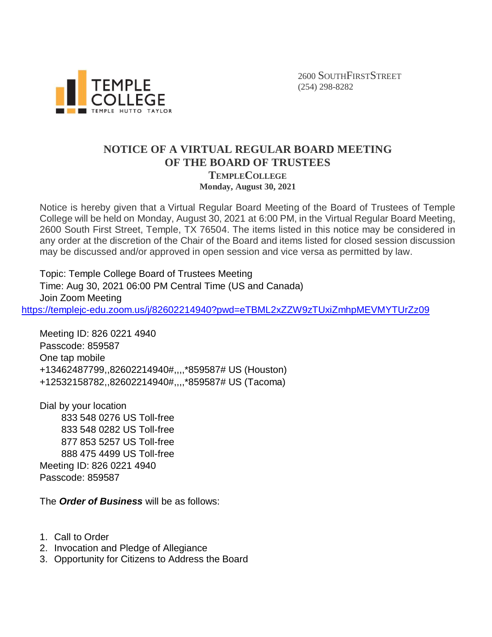

2600 SOUTHFIRSTSTREET (254) 298-8282

## **NOTICE OF A VIRTUAL REGULAR BOARD MEETING OF THE BOARD OF TRUSTEES TEMPLECOLLEGE Monday, August 30, 2021**

Notice is hereby given that a Virtual Regular Board Meeting of the Board of Trustees of Temple College will be held on Monday, August 30, 2021 at 6:00 PM, in the Virtual Regular Board Meeting, 2600 South First Street, Temple, TX 76504. The items listed in this notice may be considered in any order at the discretion of the Chair of the Board and items listed for closed session discussion may be discussed and/or approved in open session and vice versa as permitted by law.

Topic: Temple College Board of Trustees Meeting Time: Aug 30, 2021 06:00 PM Central Time (US and Canada) Join Zoom Meeting <https://templejc-edu.zoom.us/j/82602214940?pwd=eTBML2xZZW9zTUxiZmhpMEVMYTUrZz09>

Meeting ID: 826 0221 4940 Passcode: 859587 One tap mobile +13462487799,,82602214940#,,,,\*859587# US (Houston) +12532158782,,82602214940#,,,,\*859587# US (Tacoma)

Dial by your location 833 548 0276 US Toll-free 833 548 0282 US Toll-free 877 853 5257 US Toll-free 888 475 4499 US Toll-free Meeting ID: 826 0221 4940 Passcode: 859587

The *Order of Business* will be as follows:

- 1. Call to Order
- 2. Invocation and Pledge of Allegiance
- 3. Opportunity for Citizens to Address the Board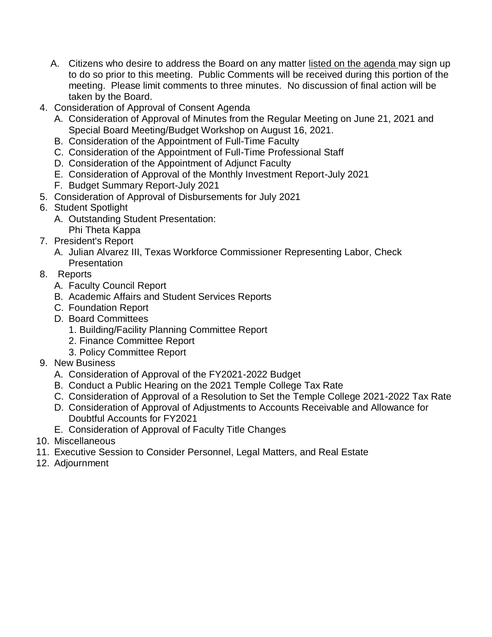- A. Citizens who desire to address the Board on any matter listed on the agenda may sign up to do so prior to this meeting. Public Comments will be received during this portion of the meeting. Please limit comments to three minutes. No discussion of final action will be taken by the Board.
- 4. Consideration of Approval of Consent Agenda
	- A. Consideration of Approval of Minutes from the Regular Meeting on June 21, 2021 and Special Board Meeting/Budget Workshop on August 16, 2021.
	- B. Consideration of the Appointment of Full-Time Faculty
	- C. Consideration of the Appointment of Full-Time Professional Staff
	- D. Consideration of the Appointment of Adjunct Faculty
	- E. Consideration of Approval of the Monthly Investment Report-July 2021
	- F. Budget Summary Report-July 2021
- 5. Consideration of Approval of Disbursements for July 2021
- 6. Student Spotlight
	- A. Outstanding Student Presentation: Phi Theta Kappa
- 7. President's Report
	- A. Julian Alvarez III, Texas Workforce Commissioner Representing Labor, Check **Presentation**
- 8. Reports
	- A. Faculty Council Report
	- B. Academic Affairs and Student Services Reports
	- C. Foundation Report
	- D. Board Committees
		- 1. Building/Facility Planning Committee Report
		- 2. Finance Committee Report
		- 3. Policy Committee Report
- 9. New Business
	- A. Consideration of Approval of the FY2021-2022 Budget
	- B. Conduct a Public Hearing on the 2021 Temple College Tax Rate
	- C. Consideration of Approval of a Resolution to Set the Temple College 2021-2022 Tax Rate
	- D. Consideration of Approval of Adjustments to Accounts Receivable and Allowance for Doubtful Accounts for FY2021
	- E. Consideration of Approval of Faculty Title Changes
- 10. Miscellaneous
- 11. Executive Session to Consider Personnel, Legal Matters, and Real Estate
- 12. Adjournment